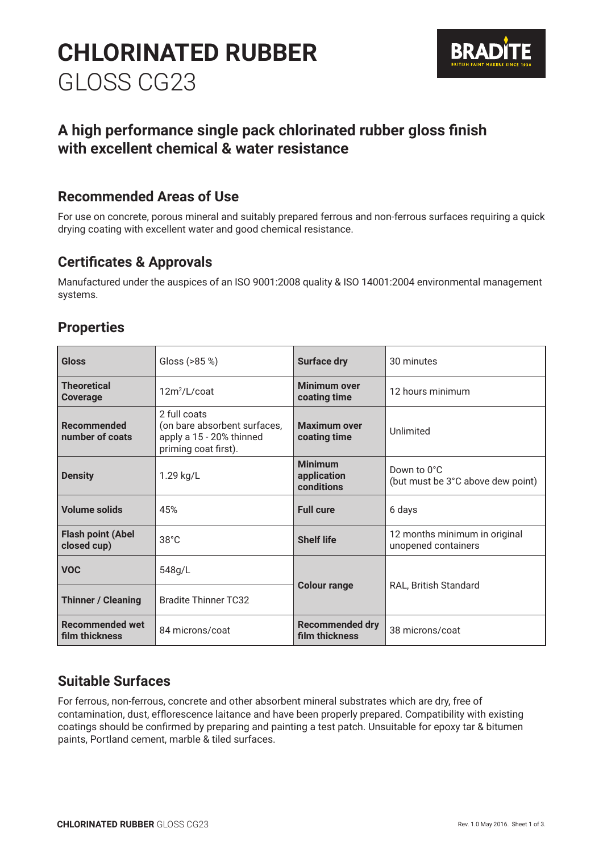# **CHLORINATED RUBBER**  GLOSS CG23



# **A high performance single pack chlorinated rubber gloss finish with excellent chemical & water resistance**

# **Recommended Areas of Use**

For use on concrete, porous mineral and suitably prepared ferrous and non-ferrous surfaces requiring a quick drying coating with excellent water and good chemical resistance.

# **Certificates & Approvals**

Manufactured under the auspices of an ISO 9001:2008 quality & ISO 14001:2004 environmental management systems.

# **Properties**

| <b>Gloss</b>                             | Gloss (>85 %)                                                                                    | <b>Surface dry</b>                          | 30 minutes                                           |
|------------------------------------------|--------------------------------------------------------------------------------------------------|---------------------------------------------|------------------------------------------------------|
| <b>Theoretical</b><br>Coverage           | $12m^2/L$ /coat                                                                                  | <b>Minimum over</b><br>coating time         | 12 hours minimum                                     |
| Recommended<br>number of coats           | 2 full coats<br>(on bare absorbent surfaces,<br>apply a 15 - 20% thinned<br>priming coat first). | <b>Maximum over</b><br>coating time         | Unlimited                                            |
| <b>Density</b>                           | 1.29 kg/L                                                                                        | <b>Minimum</b><br>application<br>conditions | Down to 0°C<br>(but must be 3°C above dew point)     |
| <b>Volume solids</b>                     | 45%                                                                                              | <b>Full cure</b>                            | 6 days                                               |
| <b>Flash point (Abel</b><br>closed cup)  | $38^{\circ}$ C                                                                                   | <b>Shelf life</b>                           | 12 months minimum in original<br>unopened containers |
| <b>VOC</b>                               | 548g/L                                                                                           |                                             |                                                      |
| <b>Thinner / Cleaning</b>                | <b>Bradite Thinner TC32</b>                                                                      | <b>Colour range</b>                         | RAL, British Standard                                |
| <b>Recommended wet</b><br>film thickness | 84 microns/coat                                                                                  | <b>Recommended dry</b><br>film thickness    | 38 microns/coat                                      |

# **Suitable Surfaces**

For ferrous, non-ferrous, concrete and other absorbent mineral substrates which are dry, free of contamination, dust, efflorescence laitance and have been properly prepared. Compatibility with existing coatings should be confirmed by preparing and painting a test patch. Unsuitable for epoxy tar & bitumen paints, Portland cement, marble & tiled surfaces.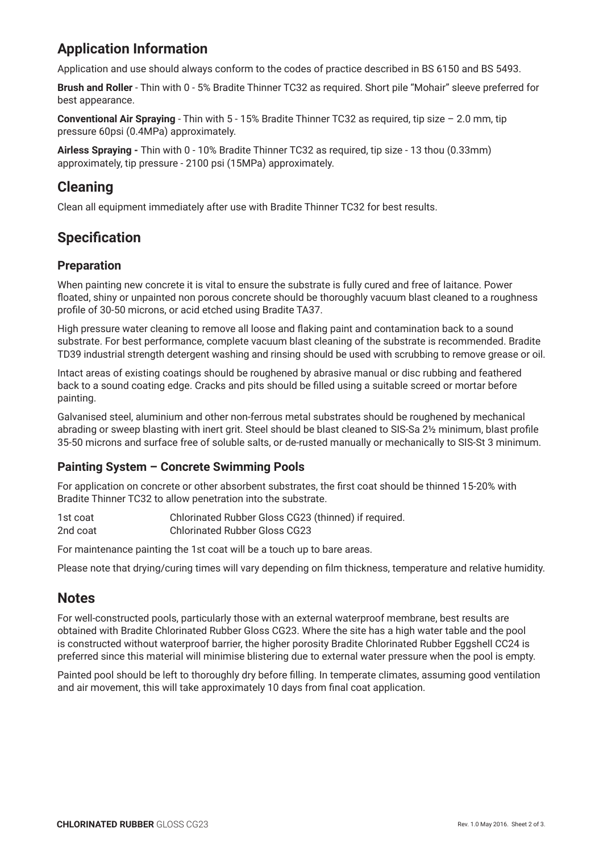# **Application Information**

Application and use should always conform to the codes of practice described in BS 6150 and BS 5493.

**Brush and Roller** - Thin with 0 - 5% Bradite Thinner TC32 as required. Short pile "Mohair" sleeve preferred for best appearance.

**Conventional Air Spraying** - Thin with 5 - 15% Bradite Thinner TC32 as required, tip size – 2.0 mm, tip pressure 60psi (0.4MPa) approximately.

**Airless Spraying -** Thin with 0 - 10% Bradite Thinner TC32 as required, tip size - 13 thou (0.33mm) approximately, tip pressure - 2100 psi (15MPa) approximately.

# **Cleaning**

Clean all equipment immediately after use with Bradite Thinner TC32 for best results.

# **Specification**

### **Preparation**

When painting new concrete it is vital to ensure the substrate is fully cured and free of laitance. Power floated, shiny or unpainted non porous concrete should be thoroughly vacuum blast cleaned to a roughness profile of 30-50 microns, or acid etched using Bradite TA37.

High pressure water cleaning to remove all loose and flaking paint and contamination back to a sound substrate. For best performance, complete vacuum blast cleaning of the substrate is recommended. Bradite TD39 industrial strength detergent washing and rinsing should be used with scrubbing to remove grease or oil.

Intact areas of existing coatings should be roughened by abrasive manual or disc rubbing and feathered back to a sound coating edge. Cracks and pits should be filled using a suitable screed or mortar before painting.

Galvanised steel, aluminium and other non-ferrous metal substrates should be roughened by mechanical abrading or sweep blasting with inert grit. Steel should be blast cleaned to SIS-Sa 2½ minimum, blast profile 35-50 microns and surface free of soluble salts, or de-rusted manually or mechanically to SIS-St 3 minimum.

# **Painting System – Concrete Swimming Pools**

For application on concrete or other absorbent substrates, the first coat should be thinned 15-20% with Bradite Thinner TC32 to allow penetration into the substrate.

1st coat Chlorinated Rubber Gloss CG23 (thinned) if required. 2nd coat Chlorinated Rubber Gloss CG23

For maintenance painting the 1st coat will be a touch up to bare areas.

Please note that drying/curing times will vary depending on film thickness, temperature and relative humidity.

# **Notes**

For well-constructed pools, particularly those with an external waterproof membrane, best results are obtained with Bradite Chlorinated Rubber Gloss CG23. Where the site has a high water table and the pool is constructed without waterproof barrier, the higher porosity Bradite Chlorinated Rubber Eggshell CC24 is preferred since this material will minimise blistering due to external water pressure when the pool is empty.

Painted pool should be left to thoroughly dry before filling. In temperate climates, assuming good ventilation and air movement, this will take approximately 10 days from final coat application.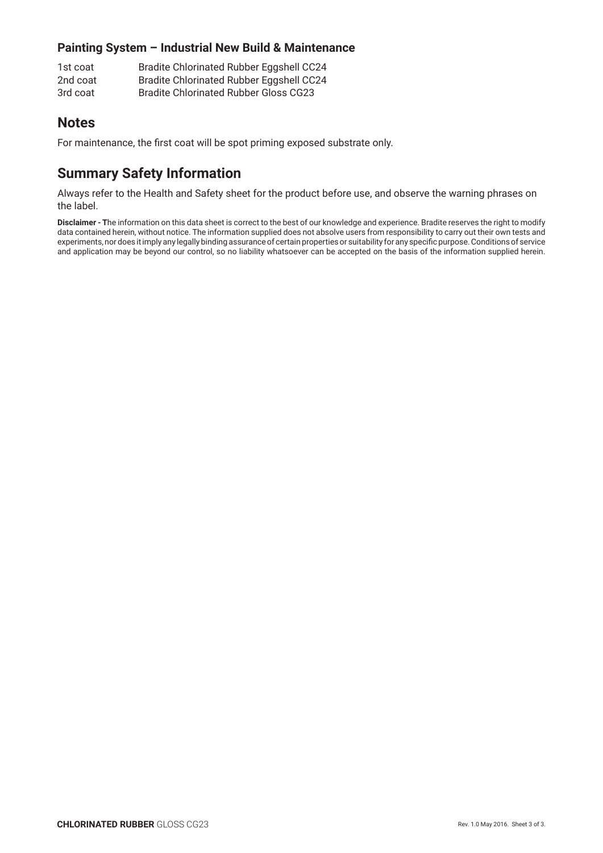# **Painting System – Industrial New Build & Maintenance**

1st coat Bradite Chlorinated Rubber Eggshell CC24 2nd coat Bradite Chlorinated Rubber Eggshell CC24 3rd coat Bradite Chlorinated Rubber Gloss CG23

# **Notes**

For maintenance, the first coat will be spot priming exposed substrate only.

# **Summary Safety Information**

Always refer to the Health and Safety sheet for the product before use, and observe the warning phrases on the label.

**Disclaimer - T**he information on this data sheet is correct to the best of our knowledge and experience. Bradite reserves the right to modify data contained herein, without notice. The information supplied does not absolve users from responsibility to carry out their own tests and experiments, nor does it imply any legally binding assurance of certain properties or suitability for any specific purpose. Conditions of service and application may be beyond our control, so no liability whatsoever can be accepted on the basis of the information supplied herein.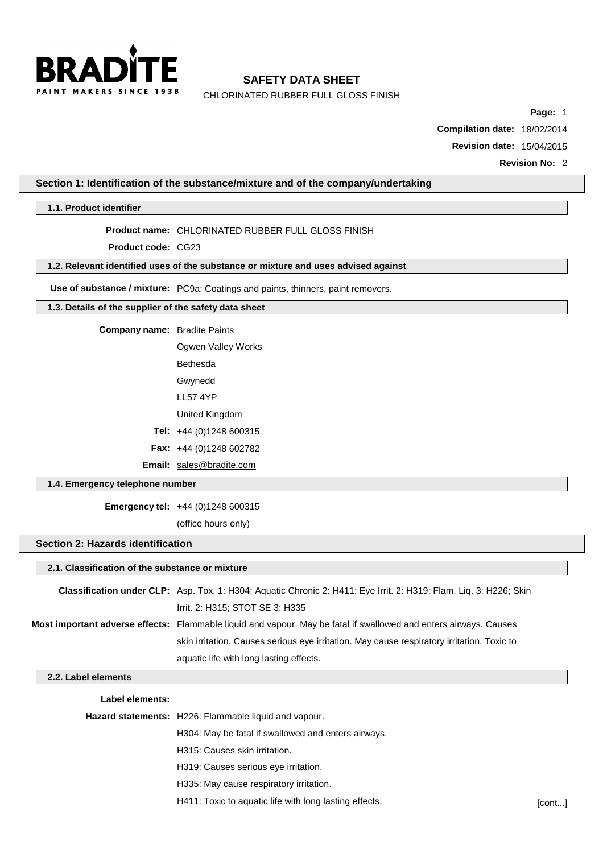

CHLORINATED RUBBER FULL GLOSS FINISH

**Page:** 1

**Compilation date:** 18/02/2014

**Revision date:** 15/04/2015

**Revision No:** 2

#### **Section 1: Identification of the substance/mixture and of the company/undertaking**

**1.1. Product identifier**

#### **Product name:** CHLORINATED RUBBER FULL GLOSS FINISH

**Product code:** CG23

#### **1.2. Relevant identified uses of the substance or mixture and uses advised against**

**Use of substance / mixture:** PC9a: Coatings and paints, thinners, paint removers.

#### **1.3. Details of the supplier of the safety data sheet**

**Company name:** Bradite Paints

Ogwen Valley Works Bethesda Gwynedd

- LL57 4YP
- United Kingdom

**Tel:** +44 (0)1248 600315

**Fax:** +44 (0)1248 602782

**Email:** [sales@bradite.com](mailto:sales@bradite.com)

#### **1.4. Emergency telephone number**

**Emergency tel:** +44 (0)1248 600315

(office hours only)

#### **Section 2: Hazards identification**

# **2.1. Classification of the substance or mixture**

| <b>Classification under CLP:</b> Asp. Tox. 1: H304; Aquatic Chronic 2: H411; Eye Irrit. 2: H319; Flam. Lig. 3: H226; Skin |
|---------------------------------------------------------------------------------------------------------------------------|
| Irrit. 2: H315; STOT SE 3: H335                                                                                           |
| <b>Most important adverse effects:</b> Flammable liquid and vapour. May be fatal if swallowed and enters airways. Causes  |
| skin irritation. Causes serious eye irritation. May cause respiratory irritation. Toxic to                                |
| aquatic life with long lasting effects.                                                                                   |

#### **2.2. Label elements**

- **Label elements:**
- **Hazard statements:** H226: Flammable liquid and vapour.

H304: May be fatal if swallowed and enters airways.

H315: Causes skin irritation.

H319: Causes serious eye irritation.

- H335: May cause respiratory irritation.
- H411: Toxic to aquatic life with long lasting effects. [cont...]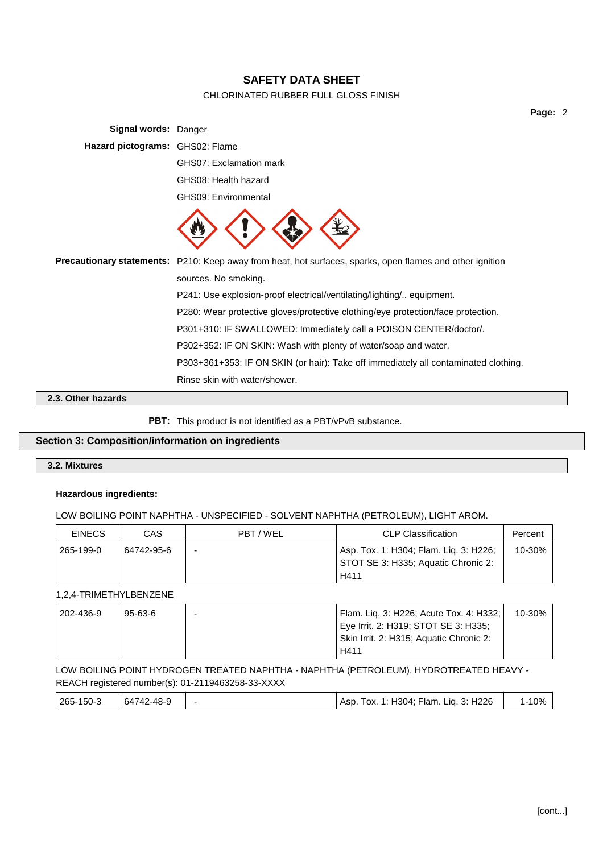### CHLORINATED RUBBER FULL GLOSS FINISH

**Page:** 2

| <b>Signal words: Danger</b>     |                                                                                                           |
|---------------------------------|-----------------------------------------------------------------------------------------------------------|
| Hazard pictograms: GHS02: Flame |                                                                                                           |
|                                 | GHS07: Exclamation mark                                                                                   |
|                                 | GHS08: Health hazard                                                                                      |
|                                 | <b>GHS09: Environmental</b>                                                                               |
|                                 |                                                                                                           |
|                                 | Precautionary statements: P210: Keep away from heat, hot surfaces, sparks, open flames and other ignition |
|                                 | sources. No smoking.                                                                                      |
|                                 | P241: Use explosion-proof electrical/ventilating/lighting/ equipment.                                     |
|                                 | P280: Wear protective gloves/protective clothing/eye protection/face protection.                          |
|                                 | P301+310: IF SWALLOWED: Immediately call a POISON CENTER/doctor/.                                         |
|                                 | P302+352: IF ON SKIN: Wash with plenty of water/soap and water.                                           |
|                                 | P303+361+353: IF ON SKIN (or hair): Take off immediately all contaminated clothing.                       |
|                                 | Rinse skin with water/shower.                                                                             |

#### **2.3. Other hazards**

PBT: This product is not identified as a PBT/vPvB substance.

#### **Section 3: Composition/information on ingredients**

#### **3.2. Mixtures**

#### **Hazardous ingredients:**

#### LOW BOILING POINT NAPHTHA - UNSPECIFIED - SOLVENT NAPHTHA (PETROLEUM), LIGHT AROM.

| <b>EINECS</b> | CAS        | PBT/WEL                  | <b>CLP Classification</b>                                                             | Percent |
|---------------|------------|--------------------------|---------------------------------------------------------------------------------------|---------|
| 265-199-0     | 64742-95-6 | $\overline{\phantom{0}}$ | Asp. Tox. 1: H304; Flam. Lig. 3: H226;<br>STOT SE 3: H335; Aquatic Chronic 2:<br>H411 | 10-30%  |

#### 1,2,4-TRIMETHYLBENZENE

| 202-436-9 | $95 - 63 - 6$ | Flam. Lig. 3: H226; Acute Tox. 4: H332; | 10-30% |
|-----------|---------------|-----------------------------------------|--------|
|           |               | Eye Irrit. 2: H319; STOT SE 3: H335;    |        |
|           |               | Skin Irrit. 2: H315; Aquatic Chronic 2: |        |
|           |               | H411                                    |        |

#### LOW BOILING POINT HYDROGEN TREATED NAPHTHA - NAPHTHA (PETROLEUM), HYDROTREATED HEAVY - REACH registered number(s): 01-2119463258-33-XXXX

| 265-150-3 | 64742-48-9 |  | Asp. Tox. 1: H304; Flam. Lig. 3: H226 | 10% |
|-----------|------------|--|---------------------------------------|-----|
|-----------|------------|--|---------------------------------------|-----|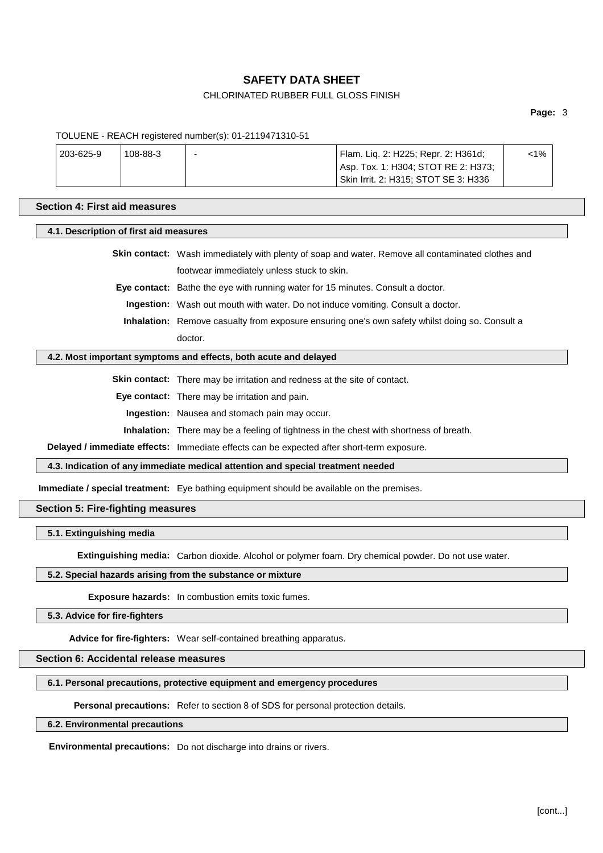#### CHLORINATED RUBBER FULL GLOSS FINISH

**Page:** 3

#### TOLUENE - REACH registered number(s): 01-2119471310-51

| 203-625-9 | 108-88-3 | - | Flam. Lig. 2: H225; Repr. 2: H361d;  | <1% |  |
|-----------|----------|---|--------------------------------------|-----|--|
|           |          |   | Asp. Tox. 1: H304; STOT RE 2: H373;  |     |  |
|           |          |   | Skin Irrit. 2: H315: STOT SE 3: H336 |     |  |

#### **Section 4: First aid measures**

#### **4.1. Description of first aid measures**

**Skin contact:** Wash immediately with plenty of soap and water. Remove all contaminated clothes and footwear immediately unless stuck to skin.

**Eye contact:** Bathe the eye with running water for 15 minutes. Consult a doctor.

**Ingestion:** Wash out mouth with water. Do not induce vomiting. Consult a doctor.

**Inhalation:** Remove casualty from exposure ensuring one's own safety whilst doing so. Consult a doctor.

#### **4.2. Most important symptoms and effects, both acute and delayed**

**Skin contact:** There may be irritation and redness at the site of contact.

**Eye contact:** There may be irritation and pain.

**Ingestion:** Nausea and stomach pain may occur.

**Inhalation:** There may be a feeling of tightness in the chest with shortness of breath.

**Delayed / immediate effects:** Immediate effects can be expected after short-term exposure.

**4.3. Indication of any immediate medical attention and special treatment needed**

**Immediate / special treatment:** Eye bathing equipment should be available on the premises.

#### **Section 5: Fire-fighting measures**

**5.1. Extinguishing media**

**Extinguishing media:** Carbon dioxide. Alcohol or polymer foam. Dry chemical powder. Do not use water.

#### **5.2. Special hazards arising from the substance or mixture**

**Exposure hazards:** In combustion emits toxic fumes.

**5.3. Advice for fire-fighters**

**Advice for fire-fighters:** Wear self-contained breathing apparatus.

**Section 6: Accidental release measures**

#### **6.1. Personal precautions, protective equipment and emergency procedures**

**Personal precautions:** Refer to section 8 of SDS for personal protection details.

**6.2. Environmental precautions**

**Environmental precautions:** Do not discharge into drains or rivers.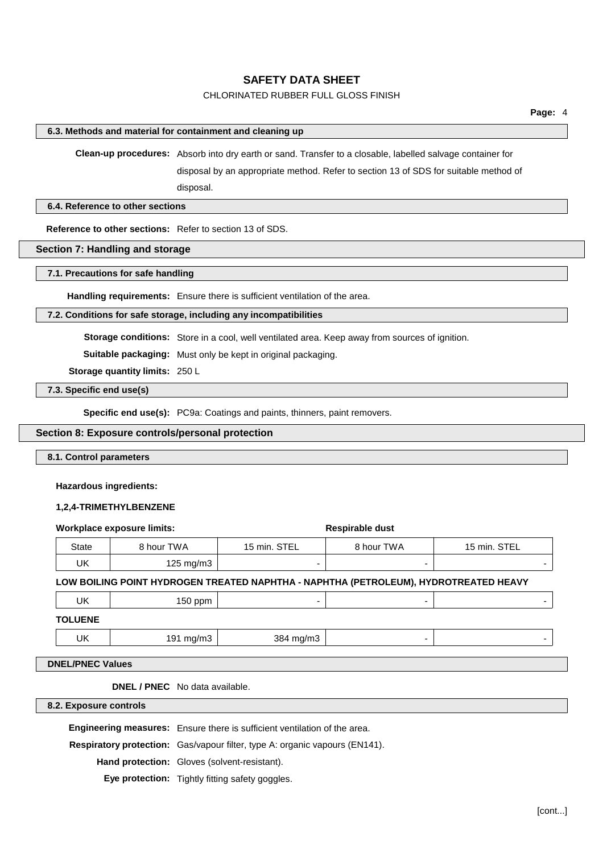#### CHLORINATED RUBBER FULL GLOSS FINISH

#### **6.3. Methods and material for containment and cleaning up**

**Clean-up procedures:** Absorb into dry earth or sand. Transfer to a closable, labelled salvage container for

disposal by an appropriate method. Refer to section 13 of SDS for suitable method of disposal.

**6.4. Reference to other sections**

**Reference to other sections:** Refer to section 13 of SDS.

#### **Section 7: Handling and storage**

#### **7.1. Precautions for safe handling**

**Handling requirements:** Ensure there is sufficient ventilation of the area.

#### **7.2. Conditions for safe storage, including any incompatibilities**

**Storage conditions:** Store in a cool, well ventilated area. Keep away from sources of ignition.

**Suitable packaging:** Must only be kept in original packaging.

**Storage quantity limits:** 250 L

**7.3. Specific end use(s)**

**Specific end use(s):** PC9a: Coatings and paints, thinners, paint removers.

#### **Section 8: Exposure controls/personal protection**

**8.1. Control parameters**

#### **Hazardous ingredients:**

#### **1,2,4-TRIMETHYLBENZENE**

| <b>Workplace exposure limits:</b> |                      |              | Respirable dust                                                                      |              |
|-----------------------------------|----------------------|--------------|--------------------------------------------------------------------------------------|--------------|
| <b>State</b>                      | 8 hour TWA           | 15 min. STEL | 8 hour TWA                                                                           | 15 min. STEL |
| UK                                | $125 \text{ mg/m}$ 3 | -            | $\overline{\phantom{0}}$                                                             |              |
|                                   |                      |              | LOW BOILING POINT HYDROGEN TREATED NAPHTHA - NAPHTHA (PETROLEUM), HYDROTREATED HEAVY |              |
| UK                                | 150 ppm              | -            | $\overline{\phantom{0}}$                                                             |              |
| <b>TOLUENE</b>                    |                      |              |                                                                                      |              |
| UK                                | 191 mg/m3            | 384 mg/m3    | $\overline{\phantom{0}}$                                                             |              |

**DNEL / PNEC** No data available.

**8.2. Exposure controls**

**Engineering measures:** Ensure there is sufficient ventilation of the area.

**Respiratory protection:** Gas/vapour filter, type A: organic vapours (EN141).

**Hand protection:** Gloves (solvent-resistant).

**Eye protection:** Tightly fitting safety goggles.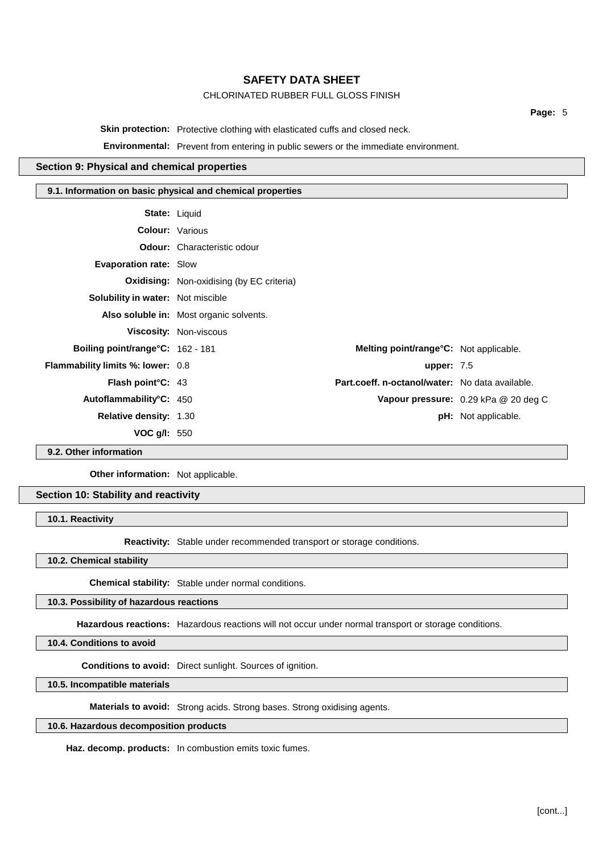#### CHLORINATED RUBBER FULL GLOSS FINISH

**Page:** 5

**Skin protection:** Protective clothing with elasticated cuffs and closed neck.

**Environmental:** Prevent from entering in public sewers or the immediate environment.

#### **Section 9: Physical and chemical properties**

#### **9.1. Information on basic physical and chemical properties**

| <b>State: Liquid</b>                     |                                                  |                                                 |                                      |
|------------------------------------------|--------------------------------------------------|-------------------------------------------------|--------------------------------------|
| <b>Colour: Various</b>                   |                                                  |                                                 |                                      |
|                                          | <b>Odour:</b> Characteristic odour               |                                                 |                                      |
| <b>Evaporation rate: Slow</b>            |                                                  |                                                 |                                      |
|                                          | <b>Oxidising:</b> Non-oxidising (by EC criteria) |                                                 |                                      |
| <b>Solubility in water:</b> Not miscible |                                                  |                                                 |                                      |
|                                          | Also soluble in: Most organic solvents.          |                                                 |                                      |
|                                          | <b>Viscosity: Non-viscous</b>                    |                                                 |                                      |
| Boiling point/range°C: 162 - 181         |                                                  | Melting point/range°C: Not applicable.          |                                      |
| <b>Flammability limits %: lower: 0.8</b> |                                                  | upper: $7.5$                                    |                                      |
| <b>Flash point C: 43</b>                 |                                                  | Part.coeff. n-octanol/water: No data available. |                                      |
| Autoflammability°C: 450                  |                                                  |                                                 | Vapour pressure: 0.29 kPa @ 20 deg C |
| <b>Relative density: 1.30</b>            |                                                  |                                                 | <b>pH:</b> Not applicable.           |
| VOC $g/l: 550$                           |                                                  |                                                 |                                      |

**9.2. Other information**

**Other information:** Not applicable.

**Section 10: Stability and reactivity**

**10.1. Reactivity**

**Reactivity:** Stable under recommended transport or storage conditions.

**10.2. Chemical stability**

**Chemical stability:** Stable under normal conditions.

**10.3. Possibility of hazardous reactions**

**Hazardous reactions:** Hazardous reactions will not occur under normal transport or storage conditions.

**10.4. Conditions to avoid**

**Conditions to avoid:** Direct sunlight. Sources of ignition.

**10.5. Incompatible materials**

**Materials to avoid:** Strong acids. Strong bases. Strong oxidising agents.

#### **10.6. Hazardous decomposition products**

**Haz. decomp. products:** In combustion emits toxic fumes.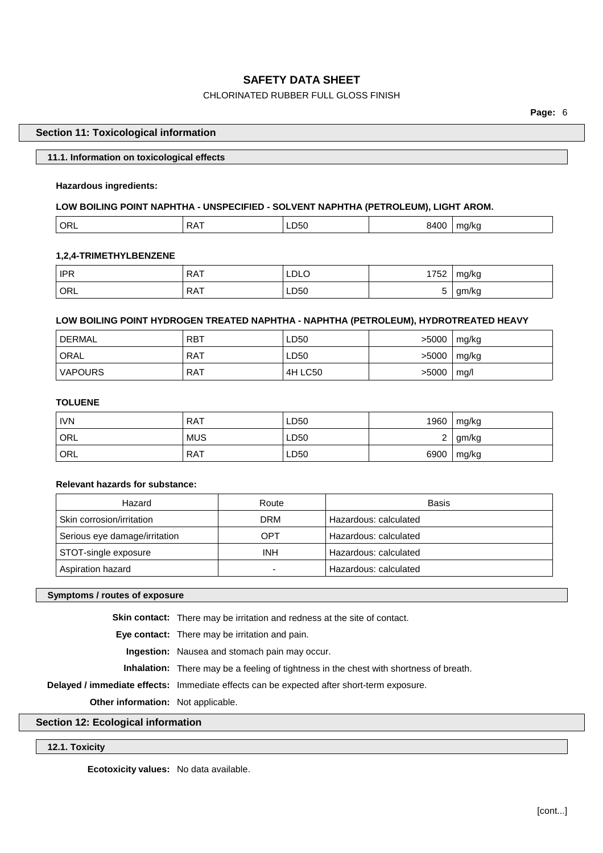#### CHLORINATED RUBBER FULL GLOSS FINISH

**Page:** 6

#### **Section 11: Toxicological information**

| 11.1. Information on toxicological effects |  |
|--------------------------------------------|--|
|                                            |  |

#### **Hazardous ingredients:**

#### **LOW BOILING POINT NAPHTHA - UNSPECIFIED - SOLVENT NAPHTHA (PETROLEUM), LIGHT AROM.**

| - 1⊩ 1<br>``<br>- -<br>$\cdot$<br>$ -$<br>__<br>. . |
|-----------------------------------------------------|
|-----------------------------------------------------|

#### **1,2,4-TRIMETHYLBENZENE**

| <b>IPR</b> | <b>RAT</b> | ' LDLC     | 1750<br>ےں ، | mg/kg     |
|------------|------------|------------|--------------|-----------|
| ORL '      | <b>RAT</b> | LD50<br>__ |              | am<br>'ny |

#### **LOW BOILING POINT HYDROGEN TREATED NAPHTHA - NAPHTHA (PETROLEUM), HYDROTREATED HEAVY**

| DERMAL         | <b>RBT</b> | LD50    | >5000 | mg/kg |
|----------------|------------|---------|-------|-------|
| ' ORAL         | RAT        | LD50    | >5000 | mg/kg |
| <b>VAPOURS</b> | RAT        | 4H LC50 | >5000 | mq/l  |

#### **TOLUENE**

| <b>IVN</b> | <b>RAT</b> | LD50 | 1960 | mg/kg |
|------------|------------|------|------|-------|
| ORL        | <b>MUS</b> | LD50 | ∼    | gm/kg |
| ORL        | <b>RAT</b> | LD50 | 6900 | mg/kg |

#### **Relevant hazards for substance:**

| Hazard                        | Route      | Basis                 |
|-------------------------------|------------|-----------------------|
| Skin corrosion/irritation     | DRM        | Hazardous: calculated |
| Serious eye damage/irritation | OPT        | Hazardous: calculated |
| STOT-single exposure          | <b>INH</b> | Hazardous: calculated |
| Aspiration hazard             |            | Hazardous: calculated |

#### **Symptoms / routes of exposure**

**Skin contact:** There may be irritation and redness at the site of contact.

**Eye contact:** There may be irritation and pain.

**Ingestion:** Nausea and stomach pain may occur.

**Inhalation:** There may be a feeling of tightness in the chest with shortness of breath.

**Delayed / immediate effects:** Immediate effects can be expected after short-term exposure.

**Other information:** Not applicable.

#### **Section 12: Ecological information**

#### **12.1. Toxicity**

**Ecotoxicity values:** No data available.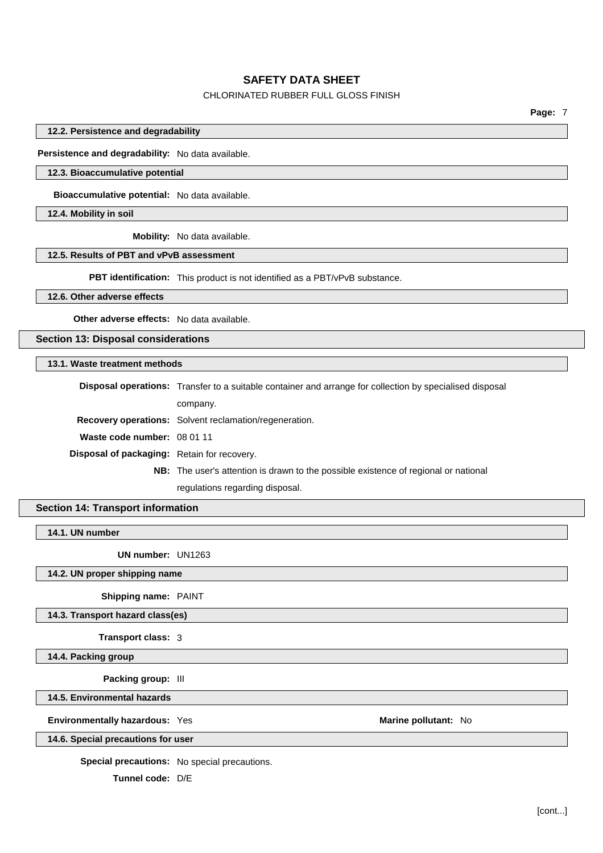#### CHLORINATED RUBBER FULL GLOSS FINISH

**Page:** 7

**12.2. Persistence and degradability**

**Persistence and degradability:** No data available.

#### **12.3. Bioaccumulative potential**

**Bioaccumulative potential:** No data available.

**12.4. Mobility in soil**

**Mobility:** No data available.

#### **12.5. Results of PBT and vPvB assessment**

**PBT identification:** This product is not identified as a PBT/vPvB substance.

**12.6. Other adverse effects**

**Other adverse effects:** No data available.

**Section 13: Disposal considerations**

#### **13.1. Waste treatment methods**

|                                                    | <b>Disposal operations:</b> Transfer to a suitable container and arrange for collection by specialised disposal |  |
|----------------------------------------------------|-----------------------------------------------------------------------------------------------------------------|--|
|                                                    | company.                                                                                                        |  |
|                                                    | <b>Recovery operations:</b> Solvent reclamation/regeneration.                                                   |  |
| Waste code number: 08 01 11                        |                                                                                                                 |  |
| <b>Disposal of packaging:</b> Retain for recovery. |                                                                                                                 |  |
|                                                    | <b>NB:</b> The user's attention is drawn to the possible existence of regional or national                      |  |
|                                                    | regulations regarding disposal.                                                                                 |  |

#### **Section 14: Transport information**

**14.1. UN number**

**UN number:** UN1263

**14.2. UN proper shipping name**

**Shipping name:** PAINT

**14.3. Transport hazard class(es)**

**Transport class:** 3

**14.4. Packing group**

**Packing group:** III

**14.5. Environmental hazards**

**Environmentally hazardous:** Yes **Marine Marine Marine pollutant:** No

**14.6. Special precautions for user**

**Special precautions:** No special precautions.

**Tunnel code:** D/E